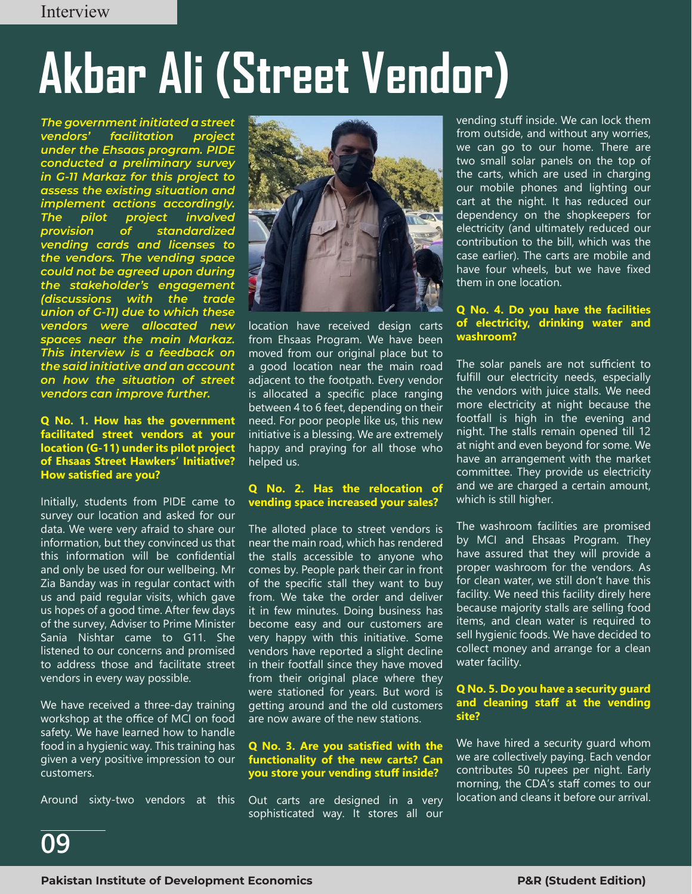## **Akbar Ali (Street Vendor)**

*The government initiated a street vendors' facilitation project under the Ehsaas program. PIDE conducted a preliminary survey in G-11 Markaz for this project to assess the existing situation and implement actions accordingly. The pilot project involved provision of standardized vending cards and licenses to the vendors. The vending space could not be agreed upon during the stakeholder's engagement (discussions with the trade union of G-11) due to which these vendors were allocated new spaces near the main Markaz. This interview is a feedback on the said initiative and an account on how the situation of street vendors can improve further.*

**Q No. 1. How has the government facilitated street vendors at your location (G-11) under its pilot project of Ehsaas Street Hawkers' Initiative? How satisfied are you?**

Initially, students from PIDE came to survey our location and asked for our data. We were very afraid to share our information, but they convinced us that this information will be confidential and only be used for our wellbeing. Mr Zia Banday was in regular contact with us and paid regular visits, which gave us hopes of a good time. After few days of the survey, Adviser to Prime Minister Sania Nishtar came to G11. She listened to our concerns and promised to address those and facilitate street vendors in every way possible.

We have received a three-day training workshop at the office of MCI on food safety. We have learned how to handle food in a hygienic way. This training has given a very positive impression to our customers.

Around sixty-two vendors at this



location have received design carts from Ehsaas Program. We have been moved from our original place but to a good location near the main road adjacent to the footpath. Every vendor is allocated a specific place ranging between 4 to 6 feet, depending on their need. For poor people like us, this new initiative is a blessing. We are extremely happy and praying for all those who helped us.

### **Q No. 2. Has the relocation of vending space increased your sales?**

The alloted place to street vendors is near the main road, which has rendered the stalls accessible to anyone who comes by. People park their car in front of the specific stall they want to buy from. We take the order and deliver it in few minutes. Doing business has become easy and our customers are very happy with this initiative. Some vendors have reported a slight decline in their footfall since they have moved from their original place where they were stationed for years. But word is getting around and the old customers are now aware of the new stations.

### **Q No. 3. Are you satisfied with the functionality of the new carts? Can you store your vending stuff inside?**

Out carts are designed in a very sophisticated way. It stores all our

vending stuff inside. We can lock them from outside, and without any worries, we can go to our home. There are two small solar panels on the top of the carts, which are used in charging our mobile phones and lighting our cart at the night. It has reduced our dependency on the shopkeepers for electricity (and ultimately reduced our contribution to the bill, which was the case earlier). The carts are mobile and have four wheels, but we have fixed them in one location.

### **Q No. 4. Do you have the facilities of electricity, drinking water and washroom?**

The solar panels are not sufficient to fulfill our electricity needs, especially the vendors with juice stalls. We need more electricity at night because the footfall is high in the evening and night. The stalls remain opened till 12 at night and even beyond for some. We have an arrangement with the market committee. They provide us electricity and we are charged a certain amount, which is still higher.

The washroom facilities are promised by MCI and Ehsaas Program. They have assured that they will provide a proper washroom for the vendors. As for clean water, we still don't have this facility. We need this facility direly here because majority stalls are selling food items, and clean water is required to sell hygienic foods. We have decided to collect money and arrange for a clean water facility.

### **Q No. 5. Do you have a security guard and cleaning staff at the vending site?**

We have hired a security guard whom we are collectively paying. Each vendor contributes 50 rupees per night. Early morning, the CDA's staff comes to our location and cleans it before our arrival.

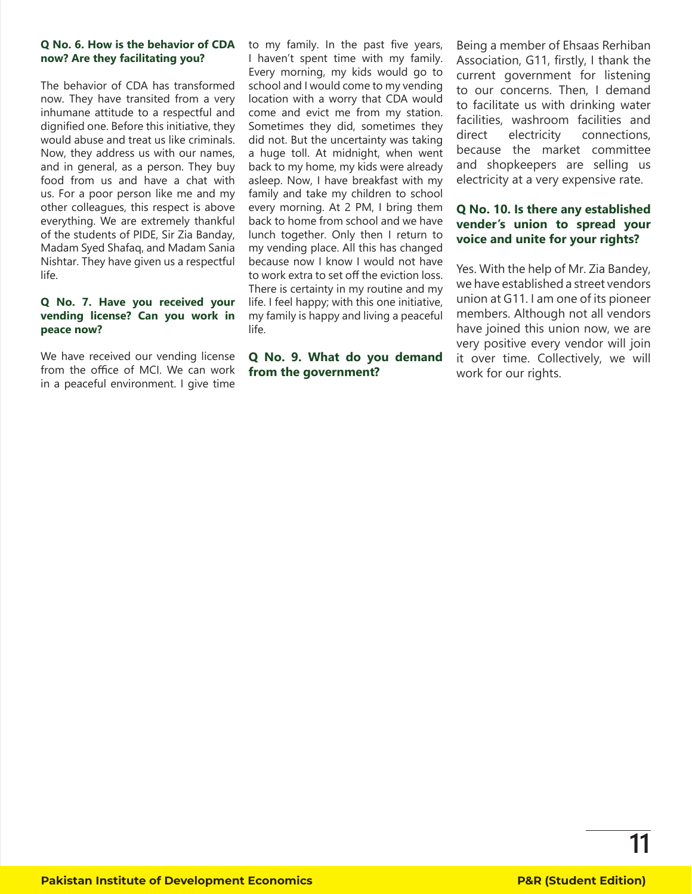### **Q No. 6. How is the behavior of CDA now? Are they facilitating you?**

The behavior of CDA has transformed now. They have transited from a very inhumane attitude to a respectful and dignified one. Before this initiative, they would abuse and treat us like criminals. Now, they address us with our names, and in general, as a person. They buy food from us and have a chat with us. For a poor person like me and my other colleagues, this respect is above everything. We are extremely thankful of the students of PIDE, Sir Zia Banday, Madam Syed Shafaq, and Madam Sania Nishtar. They have given us a respectful life.

### **Q No. 7. Have you received your vending license? Can you work in peace now?**

We have received our vending license from the office of MCI. We can work in a peaceful environment. I give time

to my family. In the past five years, I haven't spent time with my family. Every morning, my kids would go to school and I would come to my vending location with a worry that CDA would come and evict me from my station. Sometimes they did, sometimes they did not. But the uncertainty was taking a huge toll. At midnight, when went back to my home, my kids were already asleep. Now, I have breakfast with my family and take my children to school every morning. At 2 PM, I bring them back to home from school and we have lunch together. Only then I return to my vending place. All this has changed because now I know I would not have to work extra to set off the eviction loss. There is certainty in my routine and my life. I feel happy; with this one initiative, my family is happy and living a peaceful life.

**Q No. 9. What do you demand from the government?**

Being a member of Ehsaas Rerhiban Association, G11, firstly, I thank the current government for listening to our concerns. Then, I demand to facilitate us with drinking water facilities, washroom facilities and direct electricity connections, because the market committee and shopkeepers are selling us electricity at a very expensive rate.

## **Q No. 10. Is there any established vender's union to spread your voice and unite for your rights?**

Yes. With the help of Mr. Zia Bandey, we have established a street vendors union at G11. I am one of its pioneer members. Although not all vendors have joined this union now, we are very positive every vendor will join it over time. Collectively, we will work for our rights.